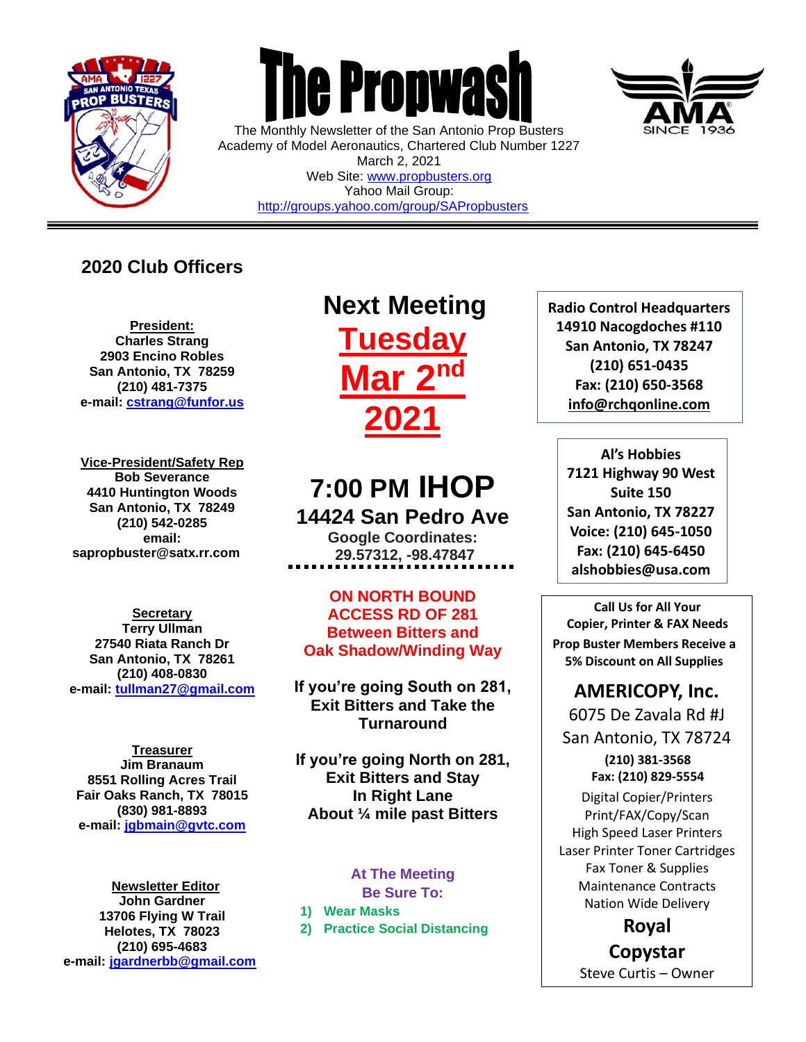

 $\overline{a}$ 



The Monthly Newsletter of the San Antonio Prop Busters Academy of Model Aeronautics, Chartered Club Number 1227 March 2, 2021 Web Site: [www.propbusters.org](http://www.propbusters.org/) Yahoo Mail Group: <http://groups.yahoo.com/group/SAPropbusters>

# **2020 Club Officers**

**President: Charles Strang 2903 Encino Robles San Antonio, TX 78259 (210) 481-7375 e-mail: [cstrang@funfor.us](mailto:cstrang@funfor.us)**

**Vice-President/Safety Rep Bob Severance 4410 Huntington Woods San Antonio, TX 78249 (210) 542-0285 email: sapropbuster@satx.rr.com**

**Secretary Terry Ullman 27540 Riata Ranch Dr San Antonio, TX 78261 (210) 408-0830 e-mail: [tullman27@gmail.com](mailto:tullman27@gmail.com)**

**Treasurer Jim Branaum 8551 Rolling Acres Trail Fair Oaks Ranch, TX 78015 (830) 981-8893 e-mail: [jgbmain@gvtc.com](mailto:jgbmain@gvtc.com)**

**Newsletter Editor John Gardner 13706 Flying W Trail Helotes, TX 78023 (210) 695-4683 e-mail: [jgardnerbb@gmail.com](mailto:jgardnerbb@gmail.com)**

# **Next Meeting Tuesday Mar 2 nd 2021**

# **7:00 PM IHOP 14424 San Pedro Ave**

**Google Coordinates: 29.57312, -98.47847**

**ON NORTH BOUND ACCESS RD OF 281 Between Bitters and Oak Shadow/Winding Way**

**If you're going South on 281, Exit Bitters and Take the Turnaround**

**If you're going North on 281, Exit Bitters and Stay In Right Lane About ¼ mile past Bitters**

### **At The Meeting Be Sure To:**

**1) Wear Masks**

**2) Practice Social Distancing**



**Al's Hobbies 7121 Highway 90 West Suite 150 San Antonio, TX 78227 Voice: (210) 645-1050 Fax: (210) 645-6450 alshobbies@usa.com**

**Call Us for All Your Copier, Printer & FAX Needs Prop Buster Members Receive a 5% Discount on All Supplies**

# **AMERICOPY, Inc.**

6075 De Zavala Rd #J San Antonio, TX 78724 **(210) 381-3568 Fax: (210) 829-5554** Digital Copier/Printers Print/FAX/Copy/Scan High Speed Laser Printers Laser Printer Toner Cartridges

Fax Toner & Supplies Maintenance Contracts Nation Wide Delivery

**Royal Copystar**

Steve Curtis – Owner

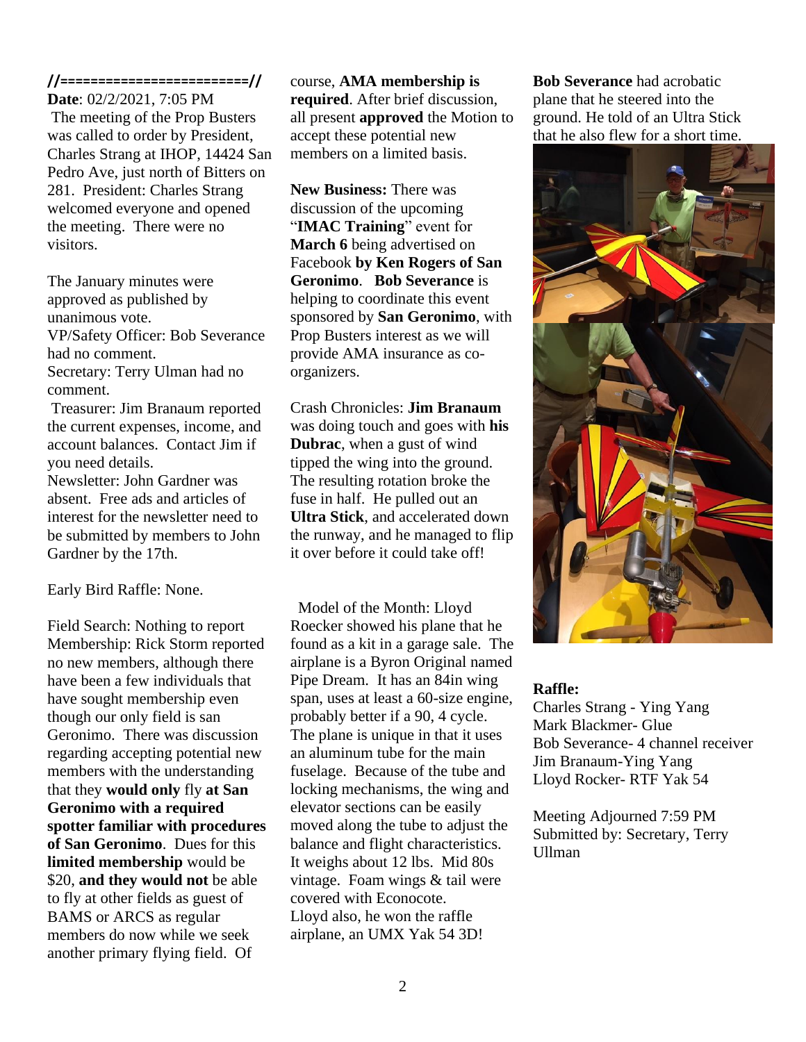## **//=========================//**

**Date**: 02/2/2021, 7:05 PM The meeting of the Prop Busters was called to order by President, Charles Strang at IHOP, 14424 San Pedro Ave, just north of Bitters on 281. President: Charles Strang welcomed everyone and opened the meeting. There were no visitors.

The January minutes were approved as published by unanimous vote. VP/Safety Officer: Bob Severance had no comment. Secretary: Terry Ulman had no comment. Treasurer: Jim Branaum reported

the current expenses, income, and account balances. Contact Jim if you need details. Newsletter: John Gardner was absent. Free ads and articles of interest for the newsletter need to be submitted by members to John Gardner by the 17th.

### Early Bird Raffle: None.

Field Search: Nothing to report Membership: Rick Storm reported no new members, although there have been a few individuals that have sought membership even though our only field is san Geronimo. There was discussion regarding accepting potential new members with the understanding that they **would only** fly **at San Geronimo with a required spotter familiar with procedures of San Geronimo**. Dues for this **limited membership** would be \$20, **and they would not** be able to fly at other fields as guest of BAMS or ARCS as regular members do now while we seek another primary flying field. Of

#### course, **AMA membership is**

**required**. After brief discussion, all present **approved** the Motion to accept these potential new members on a limited basis.

**New Business:** There was discussion of the upcoming "**IMAC Training**" event for **March 6** being advertised on Facebook **by Ken Rogers of San Geronimo**. **Bob Severance** is helping to coordinate this event sponsored by **San Geronimo**, with Prop Busters interest as we will provide AMA insurance as coorganizers.

Crash Chronicles: **Jim Branaum** was doing touch and goes with **his Dubrac**, when a gust of wind tipped the wing into the ground. The resulting rotation broke the fuse in half. He pulled out an **Ultra Stick**, and accelerated down the runway, and he managed to flip it over before it could take off!

Model of the Month: Lloyd Roecker showed his plane that he found as a kit in a garage sale. The airplane is a Byron Original named Pipe Dream. It has an 84in wing span, uses at least a 60-size engine, probably better if a 90, 4 cycle. The plane is unique in that it uses an aluminum tube for the main fuselage. Because of the tube and locking mechanisms, the wing and elevator sections can be easily moved along the tube to adjust the balance and flight characteristics. It weighs about 12 lbs. Mid 80s vintage. Foam wings & tail were covered with Econocote. Lloyd also, he won the raffle airplane, an UMX Yak 54 3D!

**Bob Severance** had acrobatic plane that he steered into the ground. He told of an Ultra Stick that he also flew for a short time.



### **Raffle:**

Charles Strang - Ying Yang Mark Blackmer- Glue Bob Severance- 4 channel receiver Jim Branaum-Ying Yang Lloyd Rocker- RTF Yak 54

Meeting Adjourned 7:59 PM Submitted by: Secretary, Terry Ullman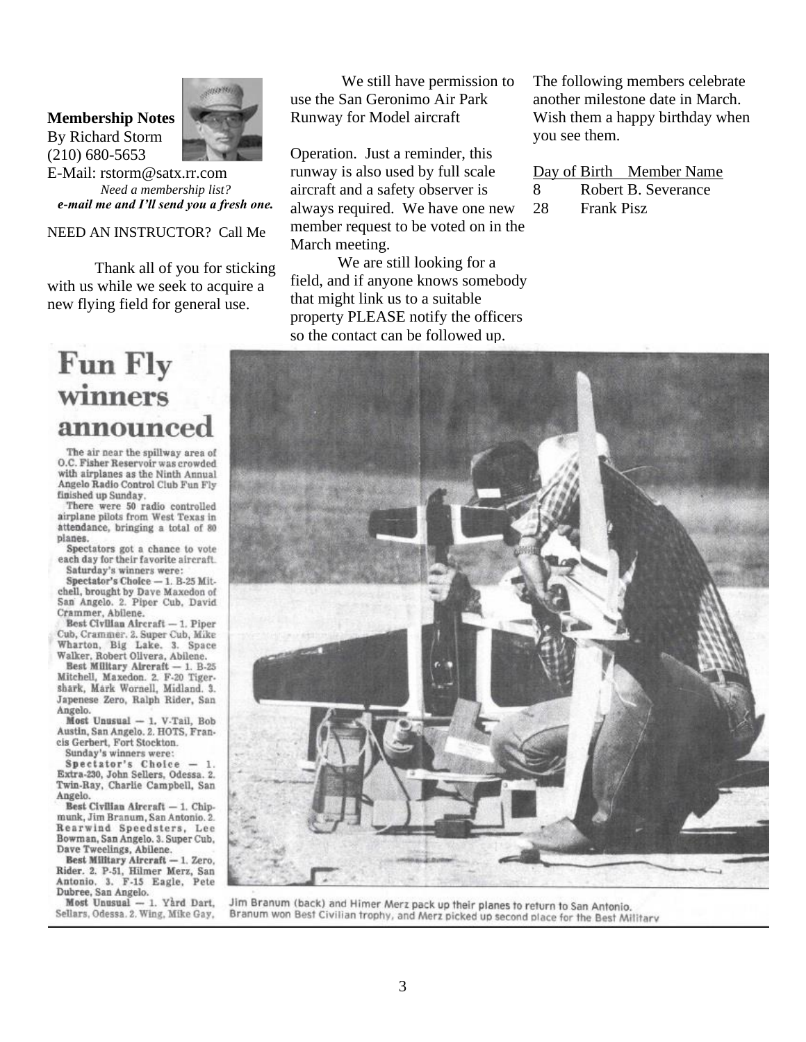#### **Membership Notes**

By Richard Storm (210) 680-5653



E-Mail: rstorm@satx.rr.com *Need a membership list? e-mail me and I'll send you a fresh one.*

### NEED AN INSTRUCTOR? Call Me

Thank all of you for sticking with us while we seek to acquire a new flying field for general use.

# **Fun Fly** winners announce

The air near the spillway area of O.C. Fisher Reservoir was crowded with airplanes as the Ninth Annual Angelo Radio Control Club Fun Fly finished up Sunday.

There were 50 radio controlled airplane pilots from West Texas in attendance, bringing a total of 80 planes.

Spectators got a chance to vote each day for their favorite aircraft. Saturday's winners were:

 $Spectator's Choice -1. B.25 Mit$ chell, brought by Dave Maxedon of San Angelo. 2. Piper Cub, David Crammer, Abilene.

Best Civilian Aircraft - 1. Piper Cub, Crammer. 2. Super Cub, Mike Wharton, Big Lake. 3. Space Walker, Robert Olivera, Abilene.

Best Military Aircraft - 1. B-25 Mitchell, Maxedon. 2. F-20 Tigershark, Mark Wornell, Midland. 3. Japenese Zero, Ralph Rider, San Angelo.

Most Unusual - 1. V-Tail, Bob Austin, San Angelo. 2. HOTS, Francis Gerbert, Fort Stockton.

Sunday's winners were:

Spectator's Choice Extra-230, John Sellers, Odessa. 2. Twin-Ray, Charlie Campbell, San Angelo.

Best Civilian Aircraft - 1. Chipmunk, Jim Branum, San Antonio. 2. Rearwind Speedsters, Lee Bowman, San Angelo. 3. Super Cub, Dave Tweelings, Abilene.

Best Military Aircraft - 1. Zero, Rider. 2. P-51, Hilmer Merz, San Antonio. 3. F-15 Eagle, Pete Dubree, San Angelo.

Most Unusual - 1. Yard Dart, Sellars, Odessa. 2. Wing, Mike Gay,

We still have permission to use the San Geronimo Air Park Runway for Model aircraft

Operation. Just a reminder, this runway is also used by full scale aircraft and a safety observer is always required. We have one new member request to be voted on in the March meeting.

We are still looking for a field, and if anyone knows somebody that might link us to a suitable property PLEASE notify the officers so the contact can be followed up.

The following members celebrate another milestone date in March. Wish them a happy birthday when you see them.

Day of Birth Member Name 8 Robert B. Severance 28 Frank Pisz



Jim Branum (back) and Himer Merz pack up their planes to return to San Antonio. Branum won Best Civilian trophy, and Merz picked up second place for the Best Military